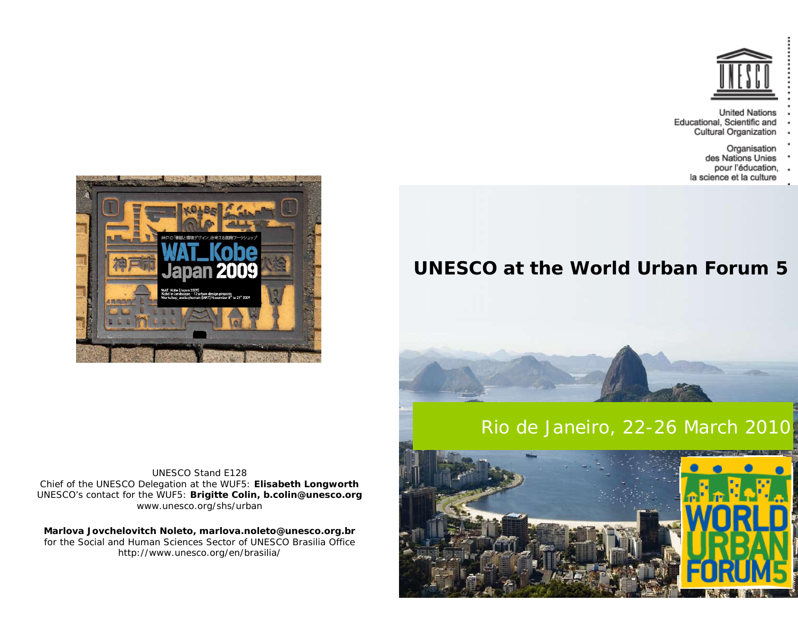

**United Nations** Educational, Scientific and Cultural Organization

- 
- Organisation<br>des Nations Unies pour l'éducation,
- la science et la culture

## **UNESCO at the World Urban Forum 5**

# Rio de Janeiro, 22-26 March 2010





UNESCO Stand E128 Chief of the UNESCO Delegation at the WUF5: **Elisabeth Longworth** UNESCO's contact for the WUF5: **Brigitte Colin, b.colin@unesco.org** www.unesco.org/shs/urban

**Marlova Jovchelovitch Noleto, marlova.noleto@unesco.org.br**  for the Social and Human Sciences Sector of UNESCO Brasilia Office http://www.unesco.org/en/brasilia/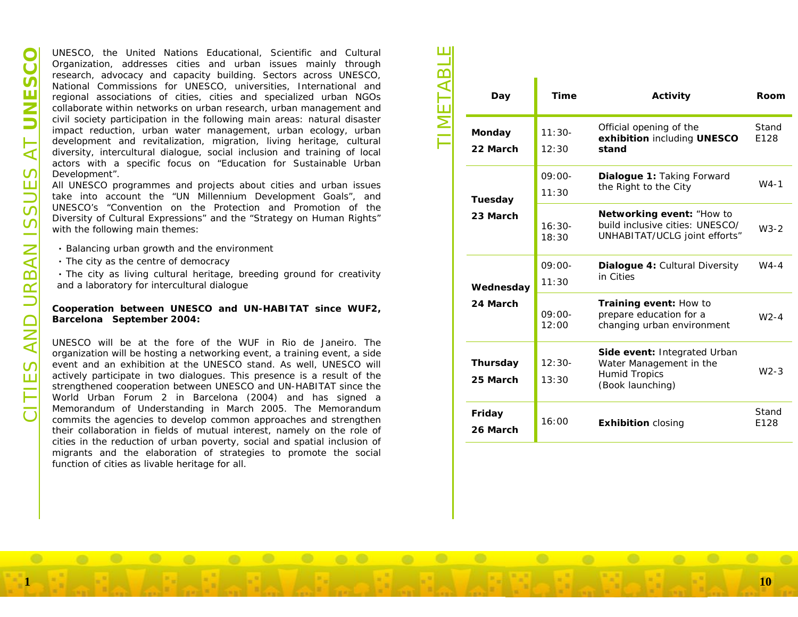O UNESCO, the United Nations Educational, Scientific and Cultural Organization, addresse crities and united insusses mails through the control respective the method commissions for UNESCO, universities, International amp

- 
- 
- 

| Day                         | <b>Time</b>       | <b>Activity</b>                                                                                     | <b>Room</b>   |
|-----------------------------|-------------------|-----------------------------------------------------------------------------------------------------|---------------|
| Monday<br>22 March          | $11:30-$          | Official opening of the<br>exhibition including UNESCO<br>stand                                     | Stand<br>E128 |
|                             | 12:30             |                                                                                                     |               |
| <b>Tuesday</b><br>23 March  | $09:00-$          | Dialogue 1: Taking Forward<br>the Right to the City                                                 | $W4-1$        |
|                             | 11:30             |                                                                                                     |               |
|                             | $16:30-$<br>18:30 | Networking event: "How to<br>build inclusive cities: UNESCO/<br>UNHABITAT/UCLG joint efforts"       | $W3-2$        |
| Wednesday<br>24 March       | 09:00-            | Dialogue 4: Cultural Diversity<br>in Cities                                                         | $W4-4$        |
|                             | 11:30             |                                                                                                     |               |
|                             | $09:00-$<br>12:00 | Training event: How to<br>prepare education for a<br>changing urban environment                     | $W2-4$        |
| <b>Thursday</b><br>25 March | $12:30-$          | Side event: Integrated Urban<br>Water Management in the<br><b>Humid Tropics</b><br>(Book launching) |               |
|                             | 13:30             |                                                                                                     | $W2-3$        |
| Friday<br>26 March          | 16:00             | <b>Exhibition closing</b>                                                                           | Stand<br>E128 |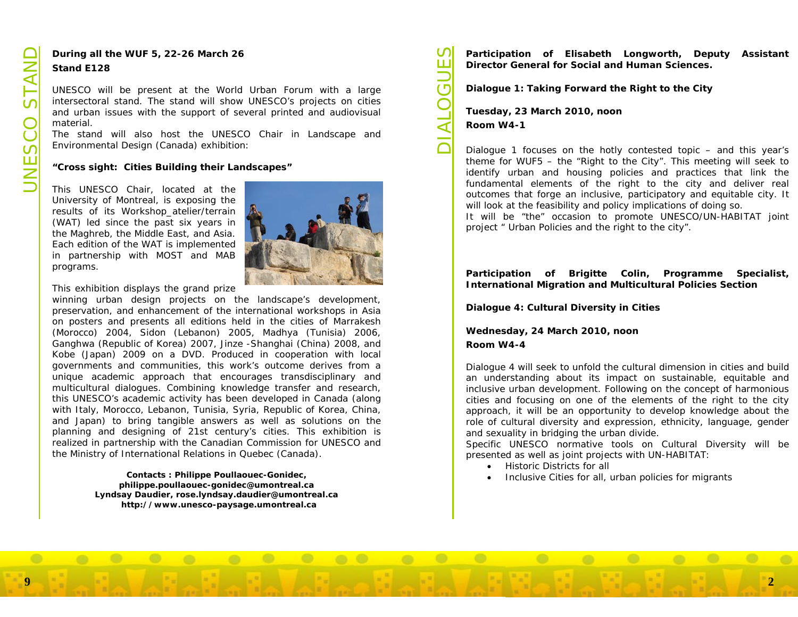

 $0.0$ 

Continue all the WUF 5, 22-26 March 26<br>
Stand E128<br>
UNESCO will be present at the World Urban Forum with a large<br>
intersectoral stand En stand will show UNESCO species on either<br>
and urban issues with the support of seve

(Carticipation of Elisabeth Longworth, Deputy Assistant<br>
Director General for Social and Human Sciences.<br>
Dialogue 1: Taking Forward the Right to the City<br>
Tuesday, 23 March 2010, noon<br>
Room W4-1<br>
Dialogue 1 focuses on th

- Historic Districts for all
- Inclusive Cities for all, urban policies for migrants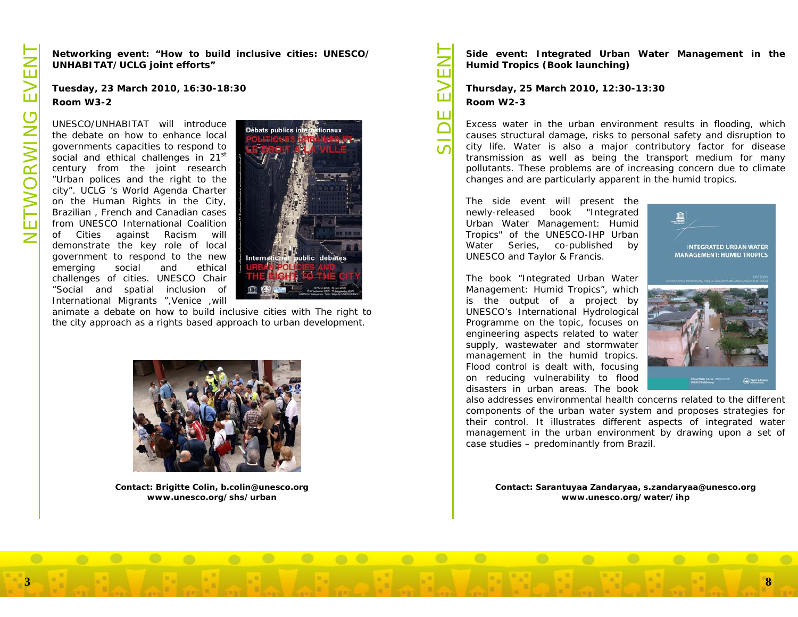The two states of the state of the state of the state of the state of the state of the state of the state of the decision of the decision of the decision of the decision of the state of the state of the decision of the dec





 $\bullet$ 

 $0.0$ 

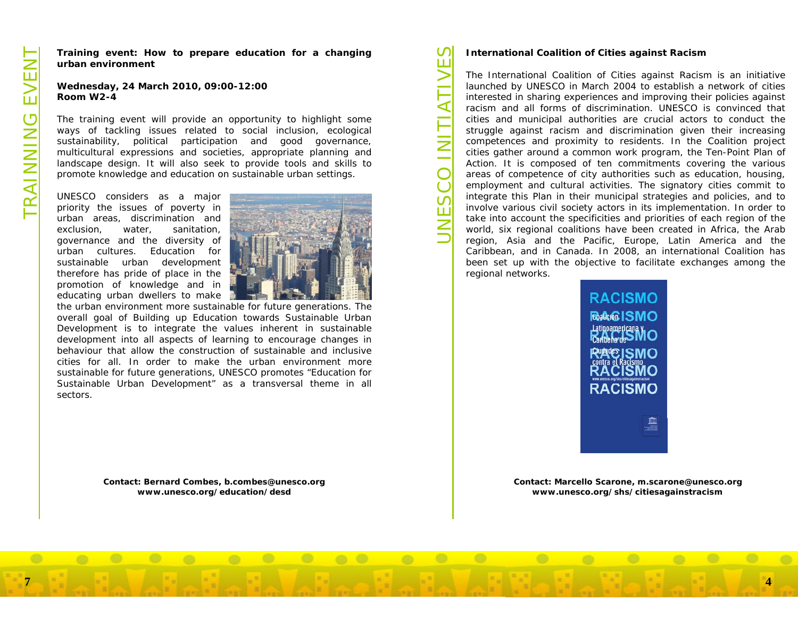

Training event: How to prepare education for a changing<br>
urban environment<br>
Wednesday, 24 March 2010, 09:00-12:00<br>
Room W2-4<br>
Wednesday, 24 March 2010, 09:00-12:00<br>
Room W2-4<br>
Wednesday, 24 March 2010, 09:00-12:00<br>
Wednesd

The international Coalition of Cities against Racism<br>
Sample Colline of Cities against Racism is an initiative<br>
The international Coalition of Cities against Racism is an initiative<br>
launched by UNESCO in March 2004 to est